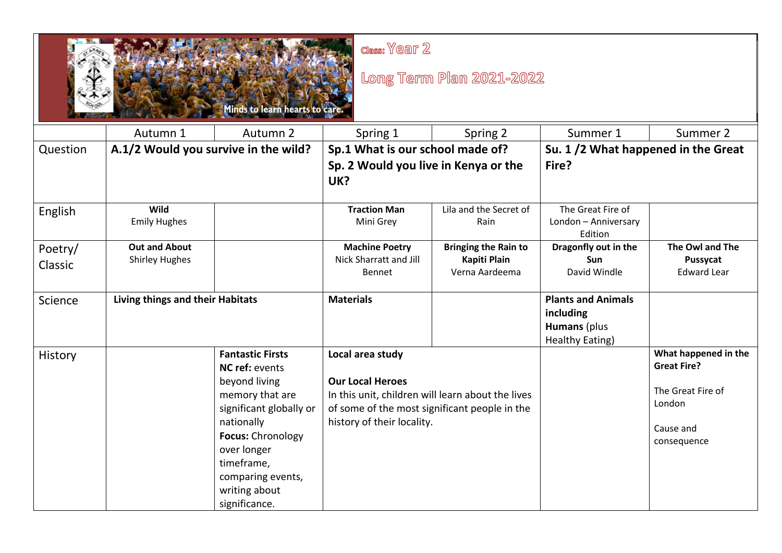

## $Class: V@aT 2$

## Long Term Plan 2021-2022

|                    |                                               | <b>THE MANUFACTURE OF BUILDING AND A RESIDENCE OF A REPORT OF A REPORT OF A REPORT OF A REPORT OF A REPORT OF A RE</b>                                                                                                          |                                                                                                                                                                                 |                                                               |                                                                                  |                                                                                                       |
|--------------------|-----------------------------------------------|---------------------------------------------------------------------------------------------------------------------------------------------------------------------------------------------------------------------------------|---------------------------------------------------------------------------------------------------------------------------------------------------------------------------------|---------------------------------------------------------------|----------------------------------------------------------------------------------|-------------------------------------------------------------------------------------------------------|
|                    | Autumn 1                                      | Autumn 2                                                                                                                                                                                                                        | Spring 1                                                                                                                                                                        | Spring 2                                                      | Summer 1                                                                         | Summer 2                                                                                              |
| Question           | A.1/2 Would you survive in the wild?          |                                                                                                                                                                                                                                 | Sp.1 What is our school made of?                                                                                                                                                |                                                               | Su. 1/2 What happened in the Great                                               |                                                                                                       |
|                    |                                               |                                                                                                                                                                                                                                 | Sp. 2 Would you live in Kenya or the<br>UK?                                                                                                                                     |                                                               | Fire?                                                                            |                                                                                                       |
| English            | Wild<br><b>Emily Hughes</b>                   |                                                                                                                                                                                                                                 | <b>Traction Man</b><br>Mini Grey                                                                                                                                                | Lila and the Secret of<br>Rain                                | The Great Fire of<br>London - Anniversary<br>Edition                             |                                                                                                       |
| Poetry/<br>Classic | <b>Out and About</b><br><b>Shirley Hughes</b> |                                                                                                                                                                                                                                 | <b>Machine Poetry</b><br><b>Nick Sharratt and Jill</b><br>Bennet                                                                                                                | <b>Bringing the Rain to</b><br>Kapiti Plain<br>Verna Aardeema | Dragonfly out in the<br><b>Sun</b><br>David Windle                               | The Owl and The<br>Pussycat<br><b>Edward Lear</b>                                                     |
| Science            | Living things and their Habitats              |                                                                                                                                                                                                                                 | <b>Materials</b>                                                                                                                                                                |                                                               | <b>Plants and Animals</b><br>including<br><b>Humans</b> (plus<br>Healthy Eating) |                                                                                                       |
| History            |                                               | <b>Fantastic Firsts</b><br>NC ref: events<br>beyond living<br>memory that are<br>significant globally or<br>nationally<br>Focus: Chronology<br>over longer<br>timeframe,<br>comparing events,<br>writing about<br>significance. | Local area study<br><b>Our Local Heroes</b><br>In this unit, children will learn about the lives<br>of some of the most significant people in the<br>history of their locality. |                                                               |                                                                                  | What happened in the<br><b>Great Fire?</b><br>The Great Fire of<br>London<br>Cause and<br>consequence |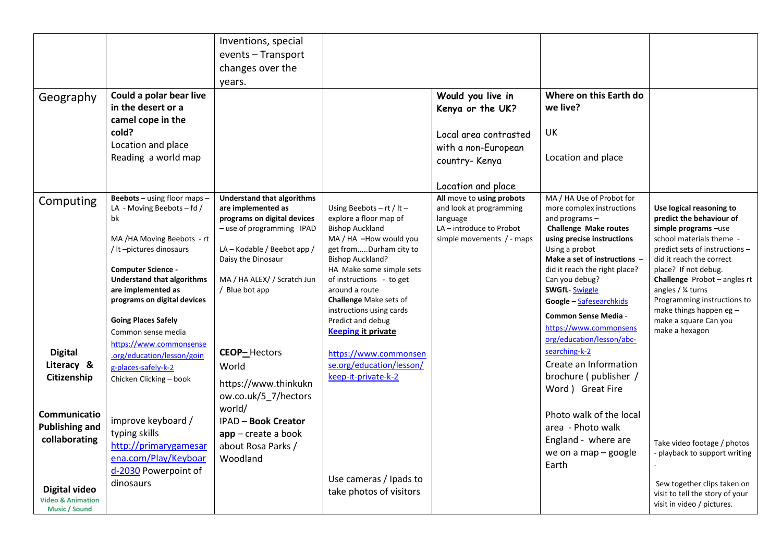| Geography                                                                                                                                                                             | Could a polar bear live<br>in the desert or a<br>camel cope in the<br>cold?<br>Location and place<br>Reading a world map                                                                                                                                                                 | Inventions, special<br>events - Transport<br>changes over the<br>years.                                                                                                                                                   |                                                                                                                                                                                                                                                                                                  | Would you live in<br>Kenya or the UK?<br>Local area contrasted<br>with a non-European<br>country- Kenya                                         | Where on this Earth do<br>we live?<br>UK<br>Location and place                                                                                                                                                                                                                                   |                                                                                                                                                                                                                                                                                                                |
|---------------------------------------------------------------------------------------------------------------------------------------------------------------------------------------|------------------------------------------------------------------------------------------------------------------------------------------------------------------------------------------------------------------------------------------------------------------------------------------|---------------------------------------------------------------------------------------------------------------------------------------------------------------------------------------------------------------------------|--------------------------------------------------------------------------------------------------------------------------------------------------------------------------------------------------------------------------------------------------------------------------------------------------|-------------------------------------------------------------------------------------------------------------------------------------------------|--------------------------------------------------------------------------------------------------------------------------------------------------------------------------------------------------------------------------------------------------------------------------------------------------|----------------------------------------------------------------------------------------------------------------------------------------------------------------------------------------------------------------------------------------------------------------------------------------------------------------|
| Computing                                                                                                                                                                             | Beebots - using floor maps -<br>LA - Moving Beebots - fd /<br>bk<br>MA /HA Moving Beebots - rt<br>/ It -pictures dinosaurs<br><b>Computer Science -</b><br><b>Understand that algorithms</b><br>are implemented as<br>programs on digital devices                                        | <b>Understand that algorithms</b><br>are implemented as<br>programs on digital devices<br>- use of programming IPAD<br>LA – Kodable / Beebot app /<br>Daisy the Dinosaur<br>MA / HA ALEX/ / Scratch Jun<br>/ Blue bot app | Using Beebots $-$ rt / It $-$<br>explore a floor map of<br><b>Bishop Auckland</b><br>MA / HA -How would you<br>get fromDurham city to<br><b>Bishop Auckland?</b><br>HA Make some simple sets<br>of instructions - to get<br>around a route<br>Challenge Make sets of<br>instructions using cards | Location and place<br>All move to using probots<br>and look at programming<br>language<br>LA - introduce to Probot<br>simple movements / - maps | MA / HA Use of Probot for<br>more complex instructions<br>and programs $-$<br><b>Challenge Make routes</b><br>using precise instructions<br>Using a probot<br>Make a set of instructions -<br>did it reach the right place?<br>Can you debug?<br><b>SWGfL-Swiggle</b><br>Google - Safesearchkids | Use logical reasoning to<br>predict the behaviour of<br>simple programs -use<br>school materials theme -<br>predict sets of instructions -<br>did it reach the correct<br>place? If not debug.<br>Challenge Probot - angles rt<br>angles / ¼ turns<br>Programming instructions to<br>make things happen eg $-$ |
| <b>Digital</b><br>Literacy &<br>Citizenship<br>Communicatio<br><b>Publishing and</b><br>collaborating<br><b>Digital video</b><br><b>Video &amp; Animation</b><br><b>Music / Sound</b> | <b>Going Places Safely</b><br>Common sense media<br>https://www.commonsense<br>.org/education/lesson/goin<br>g-places-safely-k-2<br>Chicken Clicking - book<br>improve keyboard /<br>typing skills<br>http://primarygamesar<br>ena.com/Play/Keyboar<br>d-2030 Powerpoint of<br>dinosaurs | <b>CEOP-Hectors</b><br>World<br>https://www.thinkukn<br>ow.co.uk/5_7/hectors<br>world/<br><b>IPAD - Book Creator</b><br>$app - create a book$<br>about Rosa Parks /<br>Woodland                                           | Predict and debug<br><b>Keeping it private</b><br>https://www.commonsen<br>se.org/education/lesson/<br>keep-it-private-k-2<br>Use cameras / Ipads to<br>take photos of visitors                                                                                                                  |                                                                                                                                                 | <b>Common Sense Media -</b><br>https://www.commonsens<br>org/education/lesson/abc-<br>searching-k-2<br>Create an Information<br>brochure (publisher /<br>Word ) Great Fire<br>Photo walk of the local<br>area - Photo walk<br>England - where are<br>we on a map - google<br>Earth               | make a square Can you<br>make a hexagon<br>Take video footage / photos<br>playback to support writing<br>Sew together clips taken on<br>visit to tell the story of your<br>visit in video / pictures.                                                                                                          |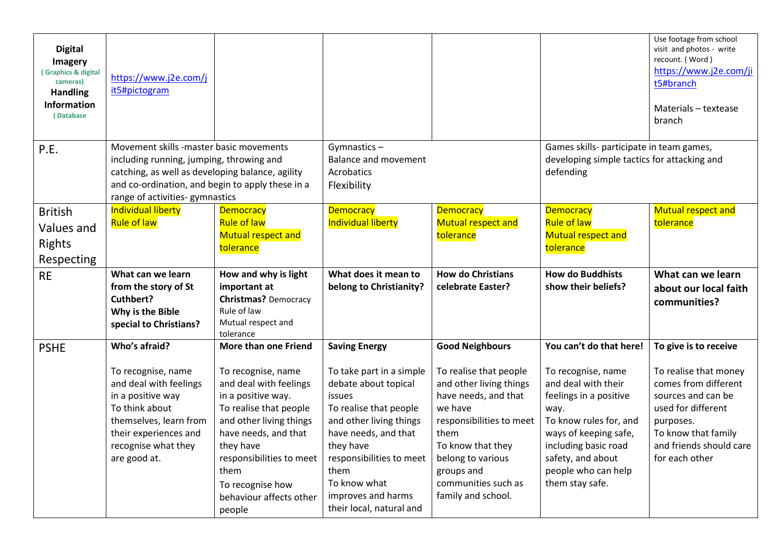| <b>Digital</b><br>Imagery<br>(Graphics & digital<br>cameras)<br><b>Handling</b><br>Information<br>(Database | https://www.j2e.com/j<br>it5#pictogram                                                                                                                                                                                        |                                                                                                                                                                                                                                                                                   |                                                                                                                                                                                                                                                                                    |                                                                                                                                                                                                                                                         |                                                                                                                                                                                                                                                  | Use footage from school<br>visit and photos - write<br>recount. (Word)<br>https://www.j2e.com/ji<br>t5#branch<br>Materials - textease<br>branch                                                     |
|-------------------------------------------------------------------------------------------------------------|-------------------------------------------------------------------------------------------------------------------------------------------------------------------------------------------------------------------------------|-----------------------------------------------------------------------------------------------------------------------------------------------------------------------------------------------------------------------------------------------------------------------------------|------------------------------------------------------------------------------------------------------------------------------------------------------------------------------------------------------------------------------------------------------------------------------------|---------------------------------------------------------------------------------------------------------------------------------------------------------------------------------------------------------------------------------------------------------|--------------------------------------------------------------------------------------------------------------------------------------------------------------------------------------------------------------------------------------------------|-----------------------------------------------------------------------------------------------------------------------------------------------------------------------------------------------------|
| P.E.                                                                                                        | Movement skills -master basic movements<br>including running, jumping, throwing and<br>catching, as well as developing balance, agility<br>and co-ordination, and begin to apply these in a<br>range of activities-gymnastics |                                                                                                                                                                                                                                                                                   | Gymnastics-<br><b>Balance and movement</b><br>Acrobatics<br>Flexibility                                                                                                                                                                                                            |                                                                                                                                                                                                                                                         | Games skills- participate in team games,<br>developing simple tactics for attacking and<br>defending                                                                                                                                             |                                                                                                                                                                                                     |
| <b>British</b><br>Values and<br>Rights<br>Respecting                                                        | <b>Individual liberty</b><br><b>Rule of law</b>                                                                                                                                                                               | <b>Democracy</b><br><b>Rule of law</b><br><b>Mutual respect and</b><br>tolerance                                                                                                                                                                                                  | <b>Democracy</b><br><b>Individual liberty</b>                                                                                                                                                                                                                                      | <b>Democracy</b><br><b>Mutual respect and</b><br>tolerance                                                                                                                                                                                              | <b>Democracy</b><br><b>Rule of law</b><br><b>Mutual respect and</b><br>tolerance                                                                                                                                                                 | <b>Mutual respect and</b><br>tolerance                                                                                                                                                              |
| <b>RE</b>                                                                                                   | What can we learn<br>from the story of St<br>Cuthbert?<br>Why is the Bible<br>special to Christians?                                                                                                                          | How and why is light<br>important at<br><b>Christmas?</b> Democracy<br>Rule of law<br>Mutual respect and<br>tolerance                                                                                                                                                             | What does it mean to<br>belong to Christianity?                                                                                                                                                                                                                                    | <b>How do Christians</b><br>celebrate Easter?                                                                                                                                                                                                           | <b>How do Buddhists</b><br>show their beliefs?                                                                                                                                                                                                   | What can we learn<br>about our local faith<br>communities?                                                                                                                                          |
| <b>PSHE</b>                                                                                                 | Who's afraid?<br>To recognise, name<br>and deal with feelings<br>in a positive way<br>To think about<br>themselves, learn from<br>their experiences and<br>recognise what they<br>are good at.                                | More than one Friend<br>To recognise, name<br>and deal with feelings<br>in a positive way.<br>To realise that people<br>and other living things<br>have needs, and that<br>they have<br>responsibilities to meet<br>them<br>To recognise how<br>behaviour affects other<br>people | <b>Saving Energy</b><br>To take part in a simple<br>debate about topical<br>issues<br>To realise that people<br>and other living things<br>have needs, and that<br>they have<br>responsibilities to meet<br>them<br>To know what<br>improves and harms<br>their local, natural and | <b>Good Neighbours</b><br>To realise that people<br>and other living things<br>have needs, and that<br>we have<br>responsibilities to meet<br>them<br>To know that they<br>belong to various<br>groups and<br>communities such as<br>family and school. | You can't do that here!<br>To recognise, name<br>and deal with their<br>feelings in a positive<br>way.<br>To know rules for, and<br>ways of keeping safe,<br>including basic road<br>safety, and about<br>people who can help<br>them stay safe. | To give is to receive<br>To realise that money<br>comes from different<br>sources and can be<br>used for different<br>purposes.<br>To know that family<br>and friends should care<br>for each other |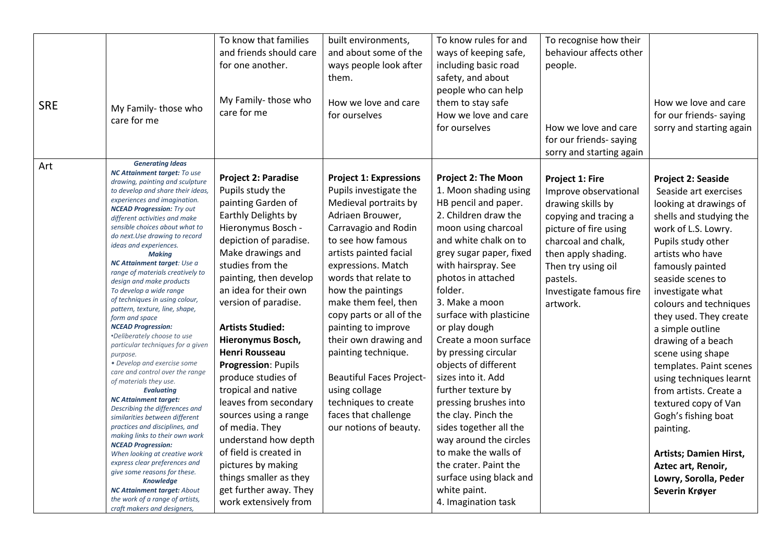|            |                                                                         | To know that families      | built environments,             | To know rules for and      | To recognise how their   |                           |
|------------|-------------------------------------------------------------------------|----------------------------|---------------------------------|----------------------------|--------------------------|---------------------------|
|            |                                                                         | and friends should care    | and about some of the           | ways of keeping safe,      | behaviour affects other  |                           |
|            |                                                                         |                            |                                 |                            |                          |                           |
|            |                                                                         | for one another.           | ways people look after          | including basic road       | people.                  |                           |
|            |                                                                         |                            | them.                           | safety, and about          |                          |                           |
|            |                                                                         |                            |                                 | people who can help        |                          |                           |
| <b>SRE</b> | My Family-those who                                                     | My Family-those who        | How we love and care            | them to stay safe          |                          | How we love and care      |
|            | care for me                                                             | care for me                | for ourselves                   | How we love and care       |                          | for our friends- saying   |
|            |                                                                         |                            |                                 | for ourselves              | How we love and care     | sorry and starting again  |
|            |                                                                         |                            |                                 |                            | for our friends- saying  |                           |
|            |                                                                         |                            |                                 |                            | sorry and starting again |                           |
|            | <b>Generating Ideas</b>                                                 |                            |                                 |                            |                          |                           |
| Art        | <b>NC Attainment target: To use</b>                                     |                            |                                 |                            |                          |                           |
|            | drawing, painting and sculpture                                         | <b>Project 2: Paradise</b> | <b>Project 1: Expressions</b>   | <b>Project 2: The Moon</b> | Project 1: Fire          | <b>Project 2: Seaside</b> |
|            | to develop and share their ideas,                                       | Pupils study the           | Pupils investigate the          | 1. Moon shading using      | Improve observational    | Seaside art exercises     |
|            | experiences and imagination.<br><b>NCEAD Progression:</b> Try out       | painting Garden of         | Medieval portraits by           | HB pencil and paper.       | drawing skills by        | looking at drawings of    |
|            | different activities and make                                           | Earthly Delights by        | Adriaen Brouwer,                | 2. Children draw the       | copying and tracing a    | shells and studying the   |
|            | sensible choices about what to                                          | Hieronymus Bosch -         | Carravagio and Rodin            | moon using charcoal        | picture of fire using    | work of L.S. Lowry.       |
|            | do next. Use drawing to record                                          | depiction of paradise.     | to see how famous               | and white chalk on to      | charcoal and chalk,      | Pupils study other        |
|            | ideas and experiences.<br><b>Making</b>                                 | Make drawings and          | artists painted facial          | grey sugar paper, fixed    | then apply shading.      | artists who have          |
|            | NC Attainment target: Use a                                             | studies from the           | expressions. Match              | with hairspray. See        | Then try using oil       | famously painted          |
|            | range of materials creatively to                                        | painting, then develop     | words that relate to            | photos in attached         |                          | seaside scenes to         |
|            | design and make products                                                | an idea for their own      |                                 | folder.                    | pastels.                 |                           |
|            | To develop a wide range<br>of techniques in using colour,               |                            | how the paintings               |                            | Investigate famous fire  | investigate what          |
|            | pattern, texture, line, shape,                                          | version of paradise.       | make them feel, then            | 3. Make a moon             | artwork.                 | colours and techniques    |
|            | form and space                                                          |                            | copy parts or all of the        | surface with plasticine    |                          | they used. They create    |
|            | <b>NCEAD Progression:</b>                                               | <b>Artists Studied:</b>    | painting to improve             | or play dough              |                          | a simple outline          |
|            | <i>*Deliberately choose to use</i><br>particular techniques for a given | Hieronymus Bosch,          | their own drawing and           | Create a moon surface      |                          | drawing of a beach        |
|            | purpose.                                                                | <b>Henri Rousseau</b>      | painting technique.             | by pressing circular       |                          | scene using shape         |
|            | • Develop and exercise some                                             | Progression: Pupils        |                                 | objects of different       |                          | templates. Paint scenes   |
|            | care and control over the range                                         | produce studies of         | <b>Beautiful Faces Project-</b> | sizes into it. Add         |                          | using techniques learnt   |
|            | of materials they use.<br><b>Evaluating</b>                             | tropical and native        | using collage                   | further texture by         |                          | from artists. Create a    |
|            | <b>NC Attainment target:</b>                                            | leaves from secondary      | techniques to create            | pressing brushes into      |                          |                           |
|            | Describing the differences and                                          |                            |                                 |                            |                          | textured copy of Van      |
|            | similarities between different                                          | sources using a range      | faces that challenge            | the clay. Pinch the        |                          | Gogh's fishing boat       |
|            | practices and disciplines, and<br>making links to their own work        | of media. They             | our notions of beauty.          | sides together all the     |                          | painting.                 |
|            | <b>NCEAD Progression:</b>                                               | understand how depth       |                                 | way around the circles     |                          |                           |
|            | When looking at creative work                                           | of field is created in     |                                 | to make the walls of       |                          | Artists; Damien Hirst,    |
|            | express clear preferences and                                           | pictures by making         |                                 | the crater. Paint the      |                          | Aztec art, Renoir,        |
|            | give some reasons for these.<br><b>Knowledge</b>                        | things smaller as they     |                                 | surface using black and    |                          | Lowry, Sorolla, Peder     |
|            | <b>NC Attainment target: About</b>                                      | get further away. They     |                                 | white paint.               |                          | Severin Krøyer            |
|            | the work of a range of artists,                                         | work extensively from      |                                 | 4. Imagination task        |                          |                           |
|            | craft makers and designers,                                             |                            |                                 |                            |                          |                           |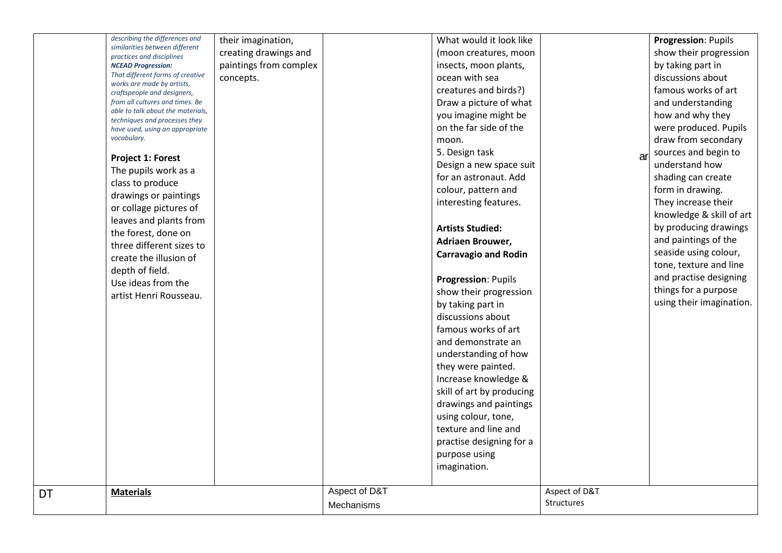|    | describing the differences and<br>similarities between different<br>practices and disciplines<br><b>NCEAD Progression:</b><br>That different forms of creative<br>works are made by artists,<br>craftspeople and designers,<br>from all cultures and times. Be<br>able to talk about the materials,<br>techniques and processes they<br>have used, using an appropriate<br>vocabulary.<br><b>Project 1: Forest</b><br>The pupils work as a<br>class to produce<br>drawings or paintings<br>or collage pictures of<br>leaves and plants from<br>the forest, done on<br>three different sizes to<br>create the illusion of<br>depth of field.<br>Use ideas from the<br>artist Henri Rousseau. | their imagination,<br>creating drawings and<br>paintings from complex<br>concepts. |                             | What would it look like<br>(moon creatures, moon<br>insects, moon plants,<br>ocean with sea<br>creatures and birds?)<br>Draw a picture of what<br>you imagine might be<br>on the far side of the<br>moon.<br>5. Design task<br>Design a new space suit<br>for an astronaut. Add<br>colour, pattern and<br>interesting features.<br><b>Artists Studied:</b><br>Adriaen Brouwer,<br><b>Carravagio and Rodin</b><br>Progression: Pupils<br>show their progression<br>by taking part in<br>discussions about<br>famous works of art<br>and demonstrate an<br>understanding of how<br>they were painted.<br>Increase knowledge &<br>skill of art by producing<br>drawings and paintings<br>using colour, tone,<br>texture and line and<br>practise designing for a<br>purpose using<br>imagination. | a                                  | Progression: Pupils<br>show their progression<br>by taking part in<br>discussions about<br>famous works of art<br>and understanding<br>how and why they<br>were produced. Pupils<br>draw from secondary<br>sources and begin to<br>understand how<br>shading can create<br>form in drawing.<br>They increase their<br>knowledge & skill of art<br>by producing drawings<br>and paintings of the<br>seaside using colour,<br>tone, texture and line<br>and practise designing<br>things for a purpose<br>using their imagination. |
|----|---------------------------------------------------------------------------------------------------------------------------------------------------------------------------------------------------------------------------------------------------------------------------------------------------------------------------------------------------------------------------------------------------------------------------------------------------------------------------------------------------------------------------------------------------------------------------------------------------------------------------------------------------------------------------------------------|------------------------------------------------------------------------------------|-----------------------------|------------------------------------------------------------------------------------------------------------------------------------------------------------------------------------------------------------------------------------------------------------------------------------------------------------------------------------------------------------------------------------------------------------------------------------------------------------------------------------------------------------------------------------------------------------------------------------------------------------------------------------------------------------------------------------------------------------------------------------------------------------------------------------------------|------------------------------------|----------------------------------------------------------------------------------------------------------------------------------------------------------------------------------------------------------------------------------------------------------------------------------------------------------------------------------------------------------------------------------------------------------------------------------------------------------------------------------------------------------------------------------|
|    |                                                                                                                                                                                                                                                                                                                                                                                                                                                                                                                                                                                                                                                                                             |                                                                                    |                             |                                                                                                                                                                                                                                                                                                                                                                                                                                                                                                                                                                                                                                                                                                                                                                                                |                                    |                                                                                                                                                                                                                                                                                                                                                                                                                                                                                                                                  |
| DT | <b>Materials</b>                                                                                                                                                                                                                                                                                                                                                                                                                                                                                                                                                                                                                                                                            |                                                                                    | Aspect of D&T<br>Mechanisms |                                                                                                                                                                                                                                                                                                                                                                                                                                                                                                                                                                                                                                                                                                                                                                                                | Aspect of D&T<br><b>Structures</b> |                                                                                                                                                                                                                                                                                                                                                                                                                                                                                                                                  |